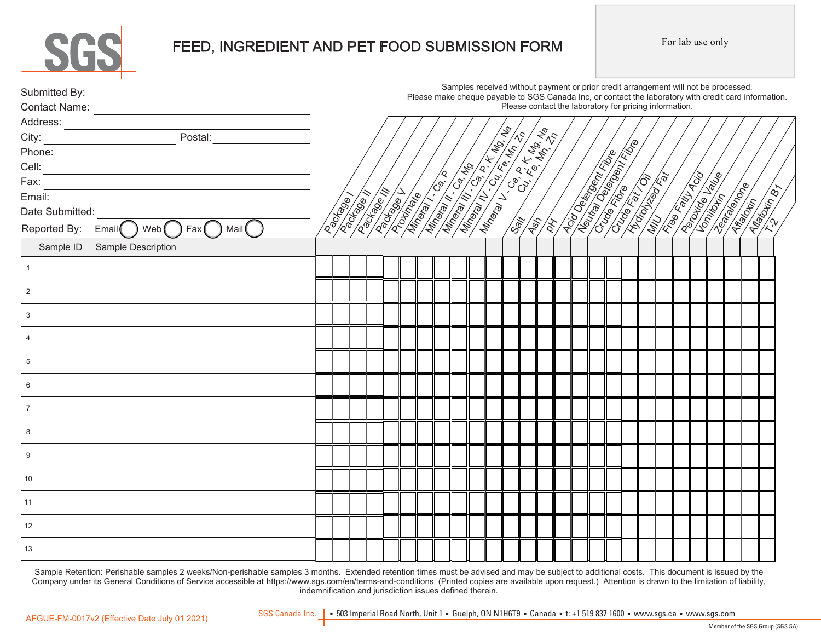

# FEED, INGREDIENT AND PET FOOD SUBMISSION FORM

For lab use only

| Please contact the laboratory for pricing information.<br>$e$ cheque pay.<br>$e$ cheque pay.<br>$e$ cheque pay.<br>$P$ lease<br>$\sqrt{3}$ $\sqrt{5}$ $\sqrt{5}$ $\sqrt{5}$ $\sqrt{5}$ $\sqrt{5}$ $\sqrt{5}$ $\sqrt{5}$ $\sqrt{5}$ $\sqrt{5}$ $\sqrt{5}$ $\sqrt{5}$ $\sqrt{5}$ $\sqrt{5}$ $\sqrt{5}$ $\sqrt{5}$ $\sqrt{5}$ $\sqrt{5}$ $\sqrt{5}$ $\sqrt{5}$<br>Fax:<br><b>American Strips</b><br><b>ISSUE DESCRIPTION</b><br>Email: <u>______________________</u><br><b>Algorithment</b><br><b>Pacifice</b><br>Date Submitted:<br>Email Web Fax Mail<br>Reported By:<br>Sample ID<br>Sample Description<br>$\mathbf{1}$<br>$\mathbf 2$<br>$\mathbf{3}$ | Please make cheque payable to SGS Canada Inc, or contact the laboratory with credit card information. |
|--------------------------------------------------------------------------------------------------------------------------------------------------------------------------------------------------------------------------------------------------------------------------------------------------------------------------------------------------------------------------------------------------------------------------------------------------------------------------------------------------------------------------------------------------------------------------------------------------------------------------------------------------------|-------------------------------------------------------------------------------------------------------|
|                                                                                                                                                                                                                                                                                                                                                                                                                                                                                                                                                                                                                                                        |                                                                                                       |
|                                                                                                                                                                                                                                                                                                                                                                                                                                                                                                                                                                                                                                                        |                                                                                                       |
|                                                                                                                                                                                                                                                                                                                                                                                                                                                                                                                                                                                                                                                        |                                                                                                       |
|                                                                                                                                                                                                                                                                                                                                                                                                                                                                                                                                                                                                                                                        |                                                                                                       |
|                                                                                                                                                                                                                                                                                                                                                                                                                                                                                                                                                                                                                                                        |                                                                                                       |
|                                                                                                                                                                                                                                                                                                                                                                                                                                                                                                                                                                                                                                                        |                                                                                                       |
|                                                                                                                                                                                                                                                                                                                                                                                                                                                                                                                                                                                                                                                        |                                                                                                       |
|                                                                                                                                                                                                                                                                                                                                                                                                                                                                                                                                                                                                                                                        |                                                                                                       |
|                                                                                                                                                                                                                                                                                                                                                                                                                                                                                                                                                                                                                                                        |                                                                                                       |
|                                                                                                                                                                                                                                                                                                                                                                                                                                                                                                                                                                                                                                                        |                                                                                                       |
|                                                                                                                                                                                                                                                                                                                                                                                                                                                                                                                                                                                                                                                        |                                                                                                       |
|                                                                                                                                                                                                                                                                                                                                                                                                                                                                                                                                                                                                                                                        |                                                                                                       |
|                                                                                                                                                                                                                                                                                                                                                                                                                                                                                                                                                                                                                                                        |                                                                                                       |
| $\overline{4}$                                                                                                                                                                                                                                                                                                                                                                                                                                                                                                                                                                                                                                         |                                                                                                       |
| 5                                                                                                                                                                                                                                                                                                                                                                                                                                                                                                                                                                                                                                                      |                                                                                                       |
|                                                                                                                                                                                                                                                                                                                                                                                                                                                                                                                                                                                                                                                        |                                                                                                       |
| 6                                                                                                                                                                                                                                                                                                                                                                                                                                                                                                                                                                                                                                                      |                                                                                                       |
| $\overline{7}$                                                                                                                                                                                                                                                                                                                                                                                                                                                                                                                                                                                                                                         |                                                                                                       |
| 8                                                                                                                                                                                                                                                                                                                                                                                                                                                                                                                                                                                                                                                      |                                                                                                       |
| 9                                                                                                                                                                                                                                                                                                                                                                                                                                                                                                                                                                                                                                                      |                                                                                                       |
| 10                                                                                                                                                                                                                                                                                                                                                                                                                                                                                                                                                                                                                                                     |                                                                                                       |
| 11                                                                                                                                                                                                                                                                                                                                                                                                                                                                                                                                                                                                                                                     |                                                                                                       |
| 12                                                                                                                                                                                                                                                                                                                                                                                                                                                                                                                                                                                                                                                     |                                                                                                       |
| 13                                                                                                                                                                                                                                                                                                                                                                                                                                                                                                                                                                                                                                                     |                                                                                                       |

Sample Retention: Perishable samples 2 weeks/Non-perishable samples 3 months. Extended retention times must be advised and may be subject to additional costs. This document is issued by the Company under its General Conditions of Service accessible at https://www.sgs.com/en/terms-and-conditions (Printed copies are available upon request.) Attention is drawn to the limitation of liability, indemnification and jurisdiction issues defined therein.